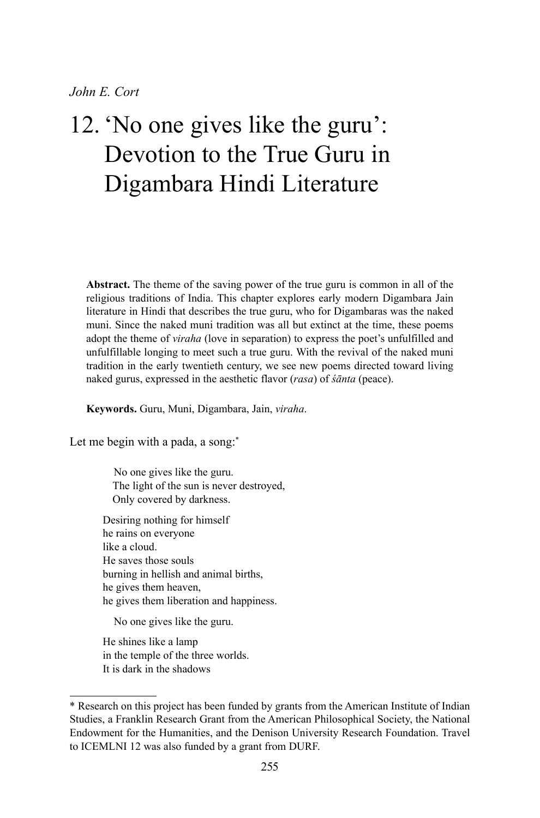# 12. 'No one gives like the guru': Devotion to the True Guru in Digambara Hindi Literature

**Abstract.** The theme of the saving power of the true guru is common in all of the religious traditions of India. This chapter explores early modern Digambara Jain literature in Hindi that describes the true guru, who for Digambaras was the naked muni. Since the naked muni tradition was all but extinct at the time, these poems adopt the theme of *viraha* (love in separation) to express the poet's unfulfilled and unfulfillable longing to meet such a true guru. With the revival of the naked muni tradition in the early twentieth century, we see new poems directed toward living naked gurus, expressed in the aesthetic flavor (*rasa*) of *śānta* (peace).

**Keywords.** Guru, Muni, Digambara, Jain, *viraha*.

Let me begin with a pada, a song: $*$ 

No one gives like the guru. The light of the sun is never destroyed, Only covered by darkness.

Desiring nothing for himself he rains on everyone like a cloud. He saves those souls burning in hellish and animal births, he gives them heaven, he gives them liberation and happiness.

No one gives like the guru.

He shines like a lamp in the temple of the three worlds. It is dark in the shadows

<sup>\*</sup> Research on this project has been funded by grants from the American Institute of Indian Studies, a Franklin Research Grant from the American Philosophical Society, the National Endowment for the Humanities, and the Denison University Research Foundation. Travel to ICEMLNI 12 was also funded by a grant from DURF.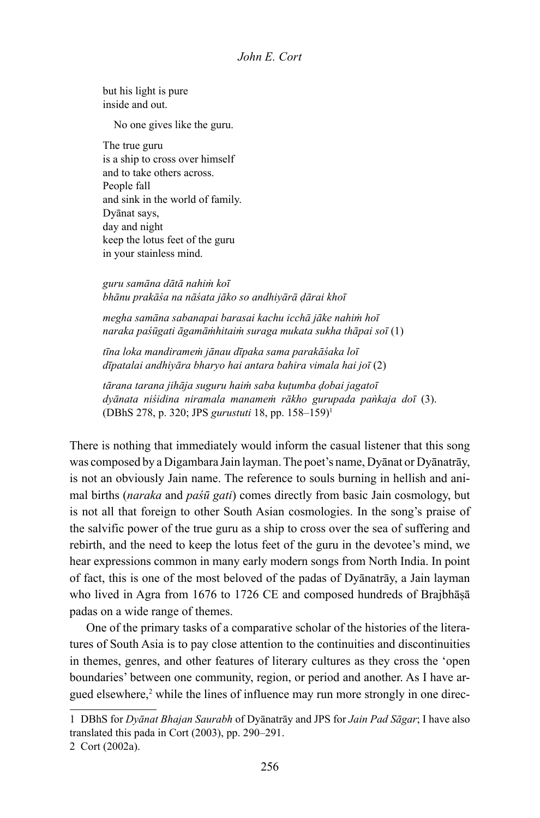but his light is pure inside and out.

No one gives like the guru.

The true guru is a ship to cross over himself and to take others across. People fall and sink in the world of family. Dyānat says, day and night keep the lotus feet of the guru in your stainless mind.

*guru samāna dātā nahiṁ koī bhānu prakāśa na nāśata jāko so andhiyārā ḍārai khoī*

*megha samāna sabanapai barasai kachu icchā jāke nahiṁ hoī naraka paśūgati āgamāṁhitaiṁ suraga mukata sukha thāpai soī* (1)

*tīna loka mandirameṁ jānau dīpaka sama parakāśaka loī dīpatalai andhiyāra bharyo hai antara bahira vimala hai joī* (2)

*tārana tarana jihāja suguru haiṁ saba kuṭumba ḍobai jagatoī dyānata niśidina niramala manameṁ rākho gurupada paṅkaja doī* (3). (DBhS 278, p. 320; JPS *gurustuti* 18, pp. 158–159)1

There is nothing that immediately would inform the casual listener that this song was composed by a Digambara Jain layman. The poet's name, Dyānat or Dyānatrāy, is not an obviously Jain name. The reference to souls burning in hellish and animal births (*naraka* and *paśū gati*) comes directly from basic Jain cosmology, but is not all that foreign to other South Asian cosmologies. In the song's praise of the salvific power of the true guru as a ship to cross over the sea of suffering and rebirth, and the need to keep the lotus feet of the guru in the devotee's mind, we hear expressions common in many early modern songs from North India. In point of fact, this is one of the most beloved of the padas of Dyānatrāy, a Jain layman who lived in Agra from 1676 to 1726 CE and composed hundreds of Brajbhāṣā padas on a wide range of themes.

One of the primary tasks of a comparative scholar of the histories of the literatures of South Asia is to pay close attention to the continuities and discontinuities in themes, genres, and other features of literary cultures as they cross the 'open boundaries' between one community, region, or period and another. As I have argued elsewhere,<sup>2</sup> while the lines of influence may run more strongly in one direc-

<sup>1</sup> DBhS for *Dyānat Bhajan Saurabh* of Dyānatrāy and JPS for *Jain Pad Sāgar*; I have also translated this pada in Cort (2003), pp. 290–291.

<sup>2</sup> Cort (2002a).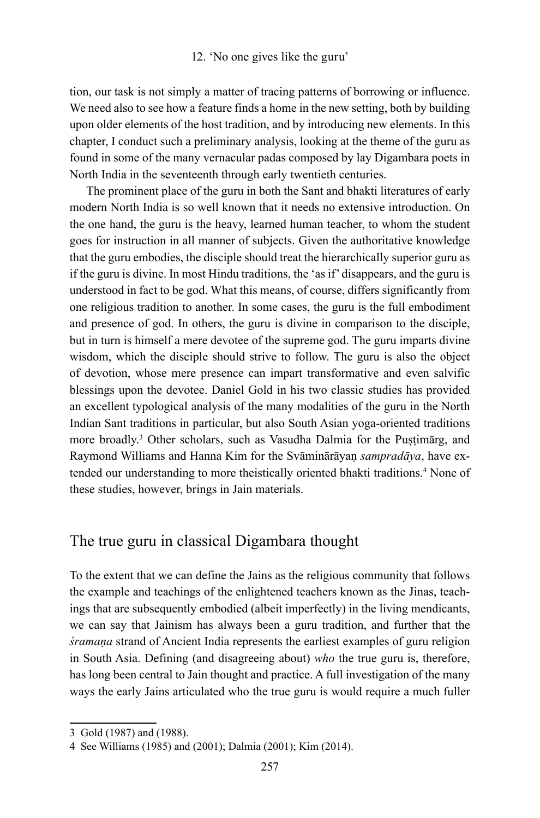tion, our task is not simply a matter of tracing patterns of borrowing or influence. We need also to see how a feature finds a home in the new setting, both by building upon older elements of the host tradition, and by introducing new elements. In this chapter, I conduct such a preliminary analysis, looking at the theme of the guru as found in some of the many vernacular padas composed by lay Digambara poets in North India in the seventeenth through early twentieth centuries.

The prominent place of the guru in both the Sant and bhakti literatures of early modern North India is so well known that it needs no extensive introduction. On the one hand, the guru is the heavy, learned human teacher, to whom the student goes for instruction in all manner of subjects. Given the authoritative knowledge that the guru embodies, the disciple should treat the hierarchically superior guru as if the guru is divine. In most Hindu traditions, the 'as if' disappears, and the guru is understood in fact to be god. What this means, of course, differs significantly from one religious tradition to another. In some cases, the guru is the full embodiment and presence of god. In others, the guru is divine in comparison to the disciple, but in turn is himself a mere devotee of the supreme god. The guru imparts divine wisdom, which the disciple should strive to follow. The guru is also the object of devotion, whose mere presence can impart transformative and even salvific blessings upon the devotee. Daniel Gold in his two classic studies has provided an excellent typological analysis of the many modalities of the guru in the North Indian Sant traditions in particular, but also South Asian yoga-oriented traditions more broadly.3 Other scholars, such as Vasudha Dalmia for the Puṣṭimārg, and Raymond Williams and Hanna Kim for the Svāminārāyaṇ *sampradāya*, have extended our understanding to more theistically oriented bhakti traditions.<sup>4</sup> None of these studies, however, brings in Jain materials.

# The true guru in classical Digambara thought

To the extent that we can define the Jains as the religious community that follows the example and teachings of the enlightened teachers known as the Jinas, teachings that are subsequently embodied (albeit imperfectly) in the living mendicants, we can say that Jainism has always been a guru tradition, and further that the *śramaṇa* strand of Ancient India represents the earliest examples of guru religion in South Asia. Defining (and disagreeing about) *who* the true guru is, therefore, has long been central to Jain thought and practice. A full investigation of the many ways the early Jains articulated who the true guru is would require a much fuller

<sup>3</sup> Gold (1987) and (1988).

<sup>4</sup> See Williams (1985) and (2001); Dalmia (2001); Kim (2014).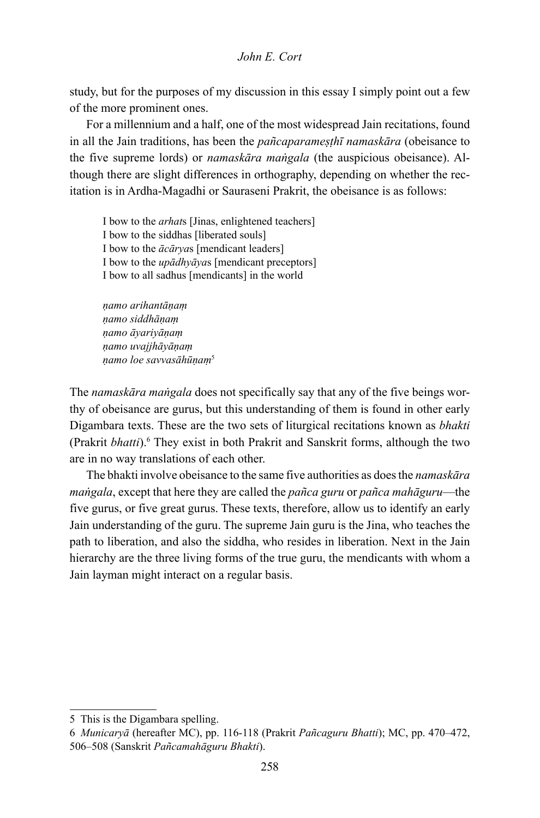study, but for the purposes of my discussion in this essay I simply point out a few of the more prominent ones.

For a millennium and a half, one of the most widespread Jain recitations, found in all the Jain traditions, has been the *pañcaparameṣṭhī namaskāra* (obeisance to the five supreme lords) or *namaskāra maṅgala* (the auspicious obeisance). Although there are slight differences in orthography, depending on whether the recitation is in Ardha-Magadhi or Sauraseni Prakrit, the obeisance is as follows:

I bow to the *arhat*s [Jinas, enlightened teachers] I bow to the siddhas [liberated souls] I bow to the *ācārya*s [mendicant leaders] I bow to the *upādhyāya*s [mendicant preceptors] I bow to all sadhus [mendicants] in the world

*ṇamo arihantāṇaṃ ṇamo siddhāṇaṃ ṇamo āyariyāṇaṃ ṇamo uvajjhāyāṇaṃ ṇamo loe savvasāhūṇaṃ*<sup>5</sup>

The *namaskāra maṅgala* does not specifically say that any of the five beings worthy of obeisance are gurus, but this understanding of them is found in other early Digambara texts. These are the two sets of liturgical recitations known as *bhakti* (Prakrit *bhatti*).<sup>6</sup> They exist in both Prakrit and Sanskrit forms, although the two are in no way translations of each other.

The bhakti involve obeisance to the same five authorities as does the *namaskāra maṅgala*, except that here they are called the *pañca guru* or *pañca mahāguru*—the five gurus, or five great gurus. These texts, therefore, allow us to identify an early Jain understanding of the guru. The supreme Jain guru is the Jina, who teaches the path to liberation, and also the siddha, who resides in liberation. Next in the Jain hierarchy are the three living forms of the true guru, the mendicants with whom a Jain layman might interact on a regular basis.

<sup>5</sup> This is the Digambara spelling.

<sup>6</sup> *Municaryā* (hereafter MC), pp. 116-118 (Prakrit *Pañcaguru Bhatti*); MC, pp. 470–472, 506–508 (Sanskrit *Pañcamahāguru Bhakti*).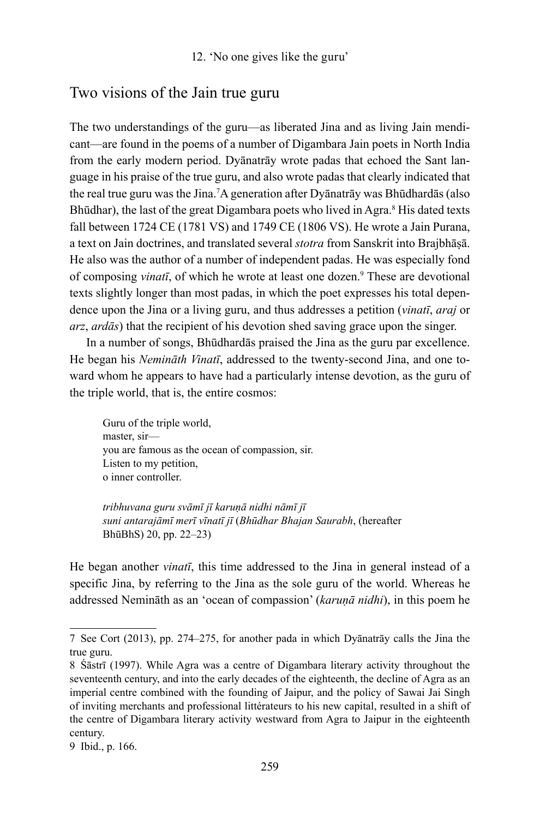# Two visions of the Jain true guru

The two understandings of the guru—as liberated Jina and as living Jain mendicant—are found in the poems of a number of Digambara Jain poets in North India from the early modern period. Dyānatrāy wrote padas that echoed the Sant language in his praise of the true guru, and also wrote padas that clearly indicated that the real true guru was the Jina.7 A generation after Dyānatrāy was Bhūdhardās (also Bhūdhar), the last of the great Digambara poets who lived in Agra.<sup>8</sup> His dated texts fall between 1724 CE (1781 VS) and 1749 CE (1806 VS). He wrote a Jain Purana, a text on Jain doctrines, and translated several *stotra* from Sanskrit into Brajbhāṣā. He also was the author of a number of independent padas. He was especially fond of composing *vinatī*, of which he wrote at least one dozen.<sup>9</sup> These are devotional texts slightly longer than most padas, in which the poet expresses his total dependence upon the Jina or a living guru, and thus addresses a petition (*vinatī*, *araj* or *arz*, *ardās*) that the recipient of his devotion shed saving grace upon the singer.

In a number of songs, Bhūdhardās praised the Jina as the guru par excellence. He began his *Nemināth Vinatī*, addressed to the twenty-second Jina, and one toward whom he appears to have had a particularly intense devotion, as the guru of the triple world, that is, the entire cosmos:

Guru of the triple world, master, sir you are famous as the ocean of compassion, sir. Listen to my petition, o inner controller.

*tribhuvana guru svāmī jī karuṇā nidhi nāmī jī suni antarajāmī merī vīnatī jī* (*Bhūdhar Bhajan Saurabh*, (hereafter BhūBhS) 20, pp. 22–23)

He began another *vinatī*, this time addressed to the Jina in general instead of a specific Jina, by referring to the Jina as the sole guru of the world. Whereas he addressed Nemināth as an 'ocean of compassion' (*karuṇā nidhi*), in this poem he

<sup>7</sup> See Cort (2013), pp. 274–275, for another pada in which Dyānatrāy calls the Jina the true guru.

<sup>8</sup> Śāstrī (1997). While Agra was a centre of Digambara literary activity throughout the seventeenth century, and into the early decades of the eighteenth, the decline of Agra as an imperial centre combined with the founding of Jaipur, and the policy of Sawai Jai Singh of inviting merchants and professional littérateurs to his new capital, resulted in a shift of the centre of Digambara literary activity westward from Agra to Jaipur in the eighteenth century.

<sup>9</sup> Ibid., p. 166.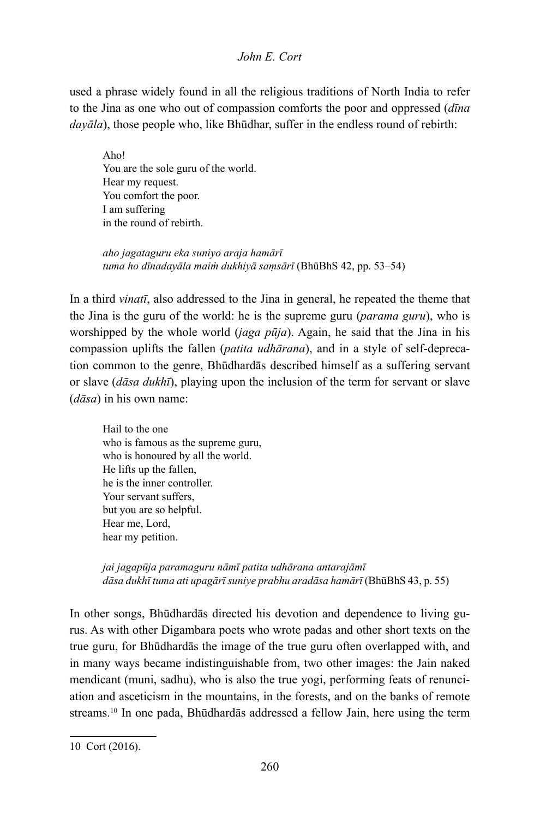used a phrase widely found in all the religious traditions of North India to refer to the Jina as one who out of compassion comforts the poor and oppressed (*dīna dayāla*), those people who, like Bhūdhar, suffer in the endless round of rebirth:

Aho! You are the sole guru of the world. Hear my request. You comfort the poor. I am suffering in the round of rebirth.

*aho jagataguru eka suniyo araja hamārī tuma ho dīnadayāla maiṁ dukhiyā saṃsārī* (BhūBhS 42, pp. 53–54)

In a third *vinatī*, also addressed to the Jina in general, he repeated the theme that the Jina is the guru of the world: he is the supreme guru (*parama guru*), who is worshipped by the whole world (*jaga pūja*). Again, he said that the Jina in his compassion uplifts the fallen (*patita udhārana*), and in a style of self-deprecation common to the genre, Bhūdhardās described himself as a suffering servant or slave (*dāsa dukhī*), playing upon the inclusion of the term for servant or slave (*dāsa*) in his own name:

Hail to the one who is famous as the supreme guru, who is honoured by all the world. He lifts up the fallen, he is the inner controller. Your servant suffers, but you are so helpful. Hear me, Lord, hear my petition.

*jai jagapūja paramaguru nāmī patita udhārana antarajāmī dāsa dukhī tuma ati upagārī suniye prabhu aradāsa hamārī* (BhūBhS 43, p. 55)

In other songs, Bhūdhardās directed his devotion and dependence to living gurus. As with other Digambara poets who wrote padas and other short texts on the true guru, for Bhūdhardās the image of the true guru often overlapped with, and in many ways became indistinguishable from, two other images: the Jain naked mendicant (muni, sadhu), who is also the true yogi, performing feats of renunciation and asceticism in the mountains, in the forests, and on the banks of remote streams.10 In one pada, Bhūdhardās addressed a fellow Jain, here using the term

<sup>10</sup> Cort (2016).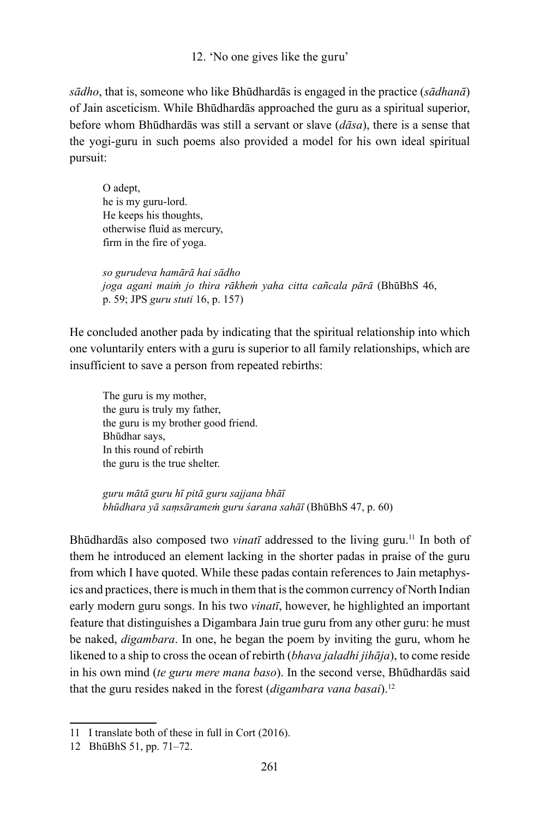12. 'No one gives like the guru'

*sādho*, that is, someone who like Bhūdhardās is engaged in the practice (*sādhanā*) of Jain asceticism. While Bhūdhardās approached the guru as a spiritual superior, before whom Bhūdhardās was still a servant or slave (*dāsa*), there is a sense that the yogi-guru in such poems also provided a model for his own ideal spiritual pursuit:

O adept, he is my guru-lord. He keeps his thoughts, otherwise fluid as mercury, firm in the fire of yoga.

*so gurudeva hamārā hai sādho joga agani maiṁ jo thira rākheṁ yaha citta cañcala pārā* (BhūBhS 46, p. 59; JPS *guru stuti* 16, p. 157)

He concluded another pada by indicating that the spiritual relationship into which one voluntarily enters with a guru is superior to all family relationships, which are insufficient to save a person from repeated rebirths:

The guru is my mother, the guru is truly my father, the guru is my brother good friend. Bhūdhar says, In this round of rebirth the guru is the true shelter.

*guru mātā guru hī pitā guru sajjana bhāī bhūdhara yā saṃsārameṁ guru śarana sahāī* (BhūBhS 47, p. 60)

Bhūdhardās also composed two *vinatī* addressed to the living guru.<sup>11</sup> In both of them he introduced an element lacking in the shorter padas in praise of the guru from which I have quoted. While these padas contain references to Jain metaphysics and practices, there is much in them that is the common currency of North Indian early modern guru songs. In his two *vinatī*, however, he highlighted an important feature that distinguishes a Digambara Jain true guru from any other guru: he must be naked, *digambara*. In one, he began the poem by inviting the guru, whom he likened to a ship to cross the ocean of rebirth (*bhava jaladhi jihāja*), to come reside in his own mind (*te guru mere mana baso*). In the second verse, Bhūdhardās said that the guru resides naked in the forest (*digambara vana basai*).12

<sup>11</sup> I translate both of these in full in Cort (2016).

<sup>12</sup> BhūBhS 51, pp. 71–72.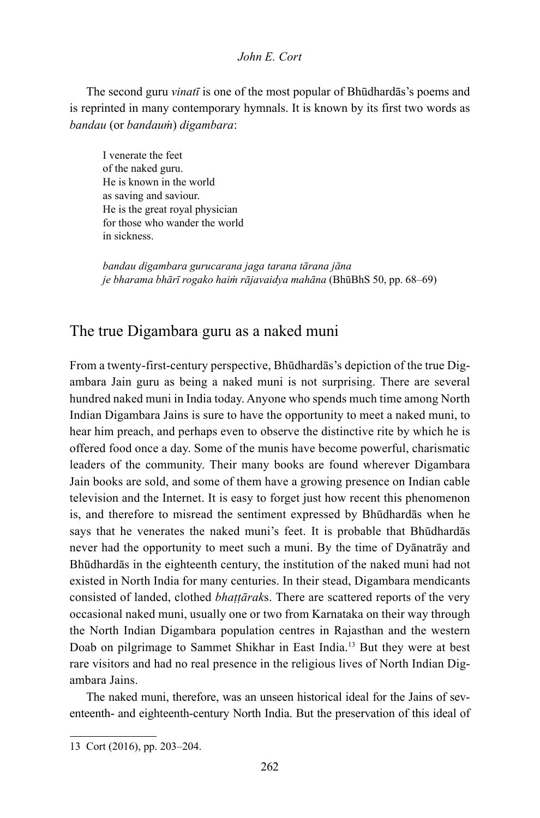The second guru *vinatī* is one of the most popular of Bhūdhardās's poems and is reprinted in many contemporary hymnals. It is known by its first two words as *bandau* (or *bandauṁ*) *digambara*:

I venerate the feet of the naked guru. He is known in the world as saving and saviour. He is the great royal physician for those who wander the world in sickness.

*bandau digambara gurucarana jaga tarana tārana jāna je bharama bhārī rogako haiṁ rājavaidya mahāna* (BhūBhS 50, pp. 68–69)

### The true Digambara guru as a naked muni

From a twenty-first-century perspective, Bhūdhardās's depiction of the true Digambara Jain guru as being a naked muni is not surprising. There are several hundred naked muni in India today. Anyone who spends much time among North Indian Digambara Jains is sure to have the opportunity to meet a naked muni, to hear him preach, and perhaps even to observe the distinctive rite by which he is offered food once a day. Some of the munis have become powerful, charismatic leaders of the community. Their many books are found wherever Digambara Jain books are sold, and some of them have a growing presence on Indian cable television and the Internet. It is easy to forget just how recent this phenomenon is, and therefore to misread the sentiment expressed by Bhūdhardās when he says that he venerates the naked muni's feet. It is probable that Bhūdhardās never had the opportunity to meet such a muni. By the time of Dyānatrāy and Bhūdhardās in the eighteenth century, the institution of the naked muni had not existed in North India for many centuries. In their stead, Digambara mendicants consisted of landed, clothed *bhaṭṭārak*s. There are scattered reports of the very occasional naked muni, usually one or two from Karnataka on their way through the North Indian Digambara population centres in Rajasthan and the western Doab on pilgrimage to Sammet Shikhar in East India.13 But they were at best rare visitors and had no real presence in the religious lives of North Indian Digambara Jains.

The naked muni, therefore, was an unseen historical ideal for the Jains of seventeenth- and eighteenth-century North India. But the preservation of this ideal of

<sup>13</sup> Cort (2016), pp. 203–204.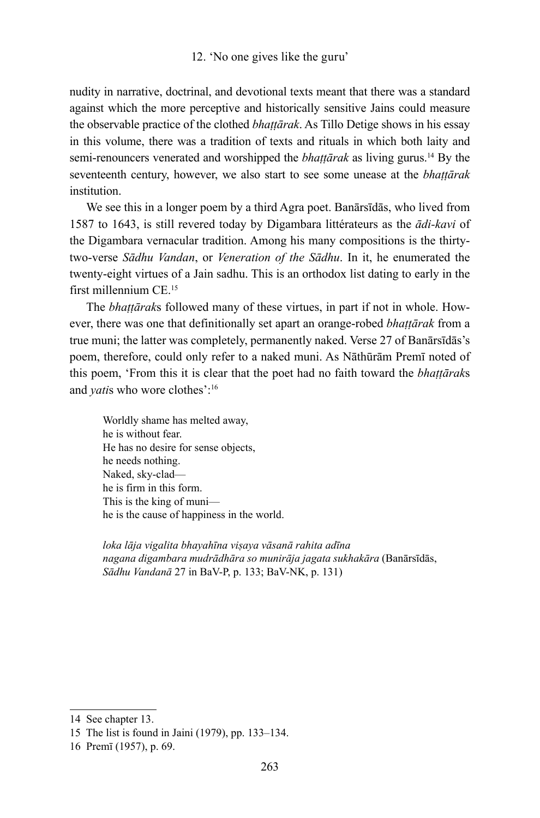#### 12. 'No one gives like the guru'

nudity in narrative, doctrinal, and devotional texts meant that there was a standard against which the more perceptive and historically sensitive Jains could measure the observable practice of the clothed *bhaṭṭārak*. As Tillo Detige shows in his essay in this volume, there was a tradition of texts and rituals in which both laity and semi-renouncers venerated and worshipped the *bhaṭṭārak* as living gurus.14 By the seventeenth century, however, we also start to see some unease at the *bhaṭṭārak institution* 

We see this in a longer poem by a third Agra poet. Banārsīdās, who lived from 1587 to 1643, is still revered today by Digambara littérateurs as the *ādi-kavi* of the Digambara vernacular tradition. Among his many compositions is the thirtytwo-verse *Sādhu Vandan*, or *Veneration of the Sādhu*. In it, he enumerated the twenty-eight virtues of a Jain sadhu. This is an orthodox list dating to early in the first millennium CE.15

The *bhaṭṭārak*s followed many of these virtues, in part if not in whole. However, there was one that definitionally set apart an orange-robed *bhaṭṭārak* from a true muni; the latter was completely, permanently naked. Verse 27 of Banārsīdās's poem, therefore, could only refer to a naked muni. As Nāthūrām Premī noted of this poem, 'From this it is clear that the poet had no faith toward the *bhaṭṭārak*s and *yatis* who wore clothes':<sup>16</sup>

Worldly shame has melted away, he is without fear. He has no desire for sense objects, he needs nothing. Naked, sky-clad he is firm in this form. This is the king of muni he is the cause of happiness in the world.

*loka lāja vigalita bhayahīna viṣaya vāsanā rahita adīna nagana digambara mudrādhāra so munirāja jagata sukhakāra* (Banārsīdās, *Sādhu Vandanā* 27 in BaV-P, p. 133; BaV-NK, p. 131)

<sup>14</sup> See chapter 13.

<sup>15</sup> The list is found in Jaini (1979), pp. 133–134.

<sup>16</sup> Premī (1957), p. 69.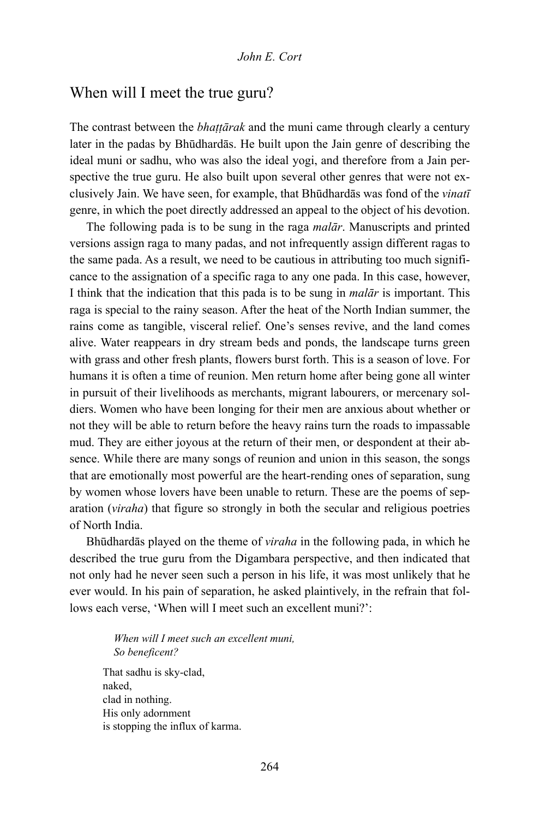## When will I meet the true guru?

The contrast between the *bhaṭṭārak* and the muni came through clearly a century later in the padas by Bhūdhardās. He built upon the Jain genre of describing the ideal muni or sadhu, who was also the ideal yogi, and therefore from a Jain perspective the true guru. He also built upon several other genres that were not exclusively Jain. We have seen, for example, that Bhūdhardās was fond of the *vinatī* genre, in which the poet directly addressed an appeal to the object of his devotion.

The following pada is to be sung in the raga *malār*. Manuscripts and printed versions assign raga to many padas, and not infrequently assign different ragas to the same pada. As a result, we need to be cautious in attributing too much significance to the assignation of a specific raga to any one pada. In this case, however, I think that the indication that this pada is to be sung in *malār* is important. This raga is special to the rainy season. After the heat of the North Indian summer, the rains come as tangible, visceral relief. One's senses revive, and the land comes alive. Water reappears in dry stream beds and ponds, the landscape turns green with grass and other fresh plants, flowers burst forth. This is a season of love. For humans it is often a time of reunion. Men return home after being gone all winter in pursuit of their livelihoods as merchants, migrant labourers, or mercenary soldiers. Women who have been longing for their men are anxious about whether or not they will be able to return before the heavy rains turn the roads to impassable mud. They are either joyous at the return of their men, or despondent at their absence. While there are many songs of reunion and union in this season, the songs that are emotionally most powerful are the heart-rending ones of separation, sung by women whose lovers have been unable to return. These are the poems of separation (*viraha*) that figure so strongly in both the secular and religious poetries of North India.

Bhūdhardās played on the theme of *viraha* in the following pada, in which he described the true guru from the Digambara perspective, and then indicated that not only had he never seen such a person in his life, it was most unlikely that he ever would. In his pain of separation, he asked plaintively, in the refrain that follows each verse, 'When will I meet such an excellent muni?':

*When will I meet such an excellent muni, So beneficent?* That sadhu is sky-clad, naked, clad in nothing. His only adornment is stopping the influx of karma.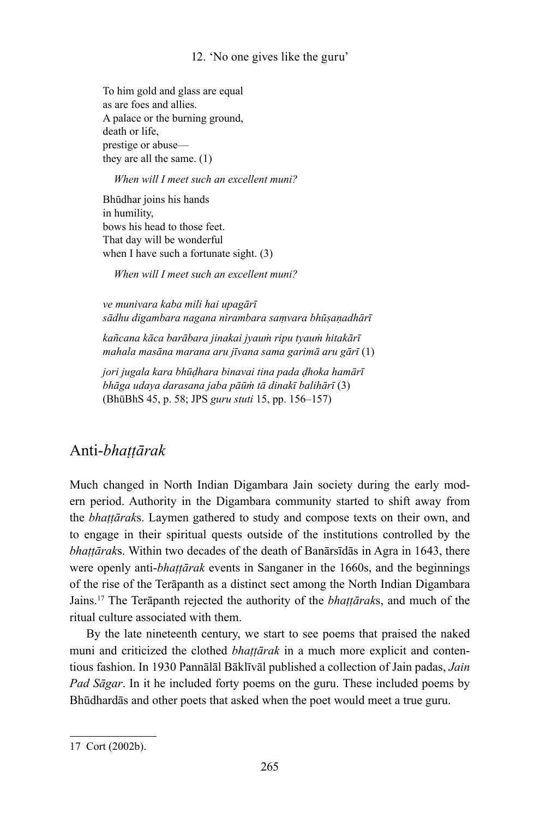#### 12. 'No one gives like the guru'

To him gold and glass are equal as are foes and allies. A palace or the burning ground, death or life, prestige or abuse they are all the same. (1)

#### *When will I meet such an excellent muni?*

Bhūdhar joins his hands in humility, bows his head to those feet. That day will be wonderful when I have such a fortunate sight. (3)

*When will I meet such an excellent muni?*

*ve munivara kaba mili hai upagārī sādhu digambara nagana nirambara saṃvara bhūṣaṇadhārī*

*kañcana kāca barābara jinakai jyauṁ ripu tyauṁ hitakārī mahala masāna marana aru jīvana sama garimā aru gārī* (1)

*jori jugala kara bhūḍhara binavai tina pada ḍhoka hamārī bhāga udaya darasana jaba pāūṁ tā dinakī balihārī* (3) (BhūBhS 45, p. 58; JPS *guru stuti* 15, pp. 156–157)

## Anti-*bhaṭṭārak*

Much changed in North Indian Digambara Jain society during the early modern period. Authority in the Digambara community started to shift away from the *bhaṭṭārak*s. Laymen gathered to study and compose texts on their own, and to engage in their spiritual quests outside of the institutions controlled by the *bhaṭṭārak*s. Within two decades of the death of Banārsīdās in Agra in 1643, there were openly anti-*bhaṭṭārak* events in Sanganer in the 1660s, and the beginnings of the rise of the Terāpanth as a distinct sect among the North Indian Digambara Jains.17 The Terāpanth rejected the authority of the *bhaṭṭārak*s, and much of the ritual culture associated with them.

By the late nineteenth century, we start to see poems that praised the naked muni and criticized the clothed *bhaṭṭārak* in a much more explicit and contentious fashion. In 1930 Pannālāl Bāklīvāl published a collection of Jain padas, *Jain Pad Sāgar*. In it he included forty poems on the guru. These included poems by Bhūdhardās and other poets that asked when the poet would meet a true guru.

<sup>17</sup> Cort (2002b).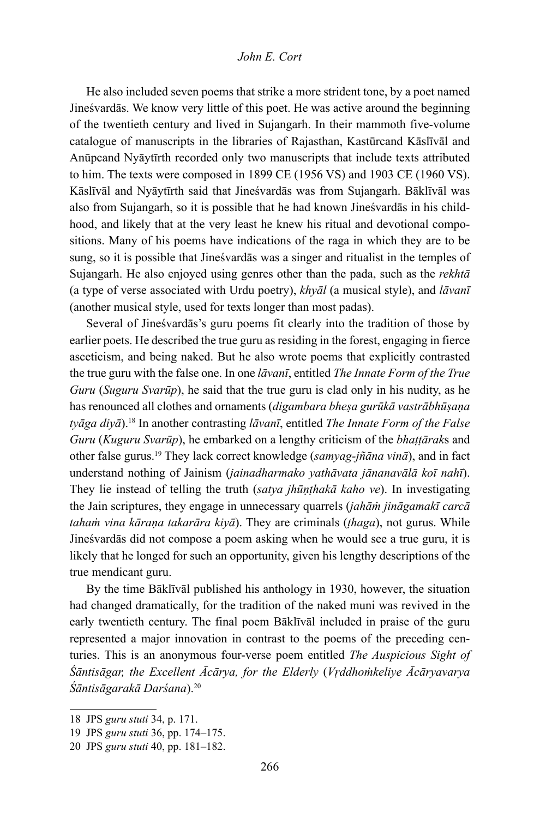He also included seven poems that strike a more strident tone, by a poet named Jineśvardās. We know very little of this poet. He was active around the beginning of the twentieth century and lived in Sujangarh. In their mammoth five-volume catalogue of manuscripts in the libraries of Rajasthan, Kastūrcand Kāslīvāl and Anūpcand Nyāytīrth recorded only two manuscripts that include texts attributed to him. The texts were composed in 1899 CE (1956 VS) and 1903 CE (1960 VS). Kāslīvāl and Nyāytīrth said that Jineśvardās was from Sujangarh. Bāklīvāl was also from Sujangarh, so it is possible that he had known Jineśvardās in his childhood, and likely that at the very least he knew his ritual and devotional compositions. Many of his poems have indications of the raga in which they are to be sung, so it is possible that Jineśvardās was a singer and ritualist in the temples of Sujangarh. He also enjoyed using genres other than the pada, such as the *rekhtā* (a type of verse associated with Urdu poetry), *khyāl* (a musical style), and *lāvanī* (another musical style, used for texts longer than most padas).

Several of Jineśvardās's guru poems fit clearly into the tradition of those by earlier poets. He described the true guru as residing in the forest, engaging in fierce asceticism, and being naked. But he also wrote poems that explicitly contrasted the true guru with the false one. In one *lāvanī*, entitled *The Innate Form of the True Guru* (*Suguru Svarūp*), he said that the true guru is clad only in his nudity, as he has renounced all clothes and ornaments (*digambara bheṣa gurūkā vastrābhūṣaṇa tyāga diyā*).18 In another contrasting *lāvanī*, entitled *The Innate Form of the False Guru* (*Kuguru Svarūp*), he embarked on a lengthy criticism of the *bhaṭṭārak*s and other false gurus.19 They lack correct knowledge (*samyag-jñāna vinā*), and in fact understand nothing of Jainism (*jainadharmako yathāvata jānanavālā koī nahī*). They lie instead of telling the truth (*satya jhūṇṭhakā kaho ve*). In investigating the Jain scriptures, they engage in unnecessary quarrels (*jahāṁ jināgamakī carcā tahaṁ vina kāraṇa takarāra kiyā*). They are criminals (*ṭhaga*), not gurus. While Jineśvardās did not compose a poem asking when he would see a true guru, it is likely that he longed for such an opportunity, given his lengthy descriptions of the true mendicant guru.

By the time Bāklīvāl published his anthology in 1930, however, the situation had changed dramatically, for the tradition of the naked muni was revived in the early twentieth century. The final poem Bāklīvāl included in praise of the guru represented a major innovation in contrast to the poems of the preceding centuries. This is an anonymous four-verse poem entitled *The Auspicious Sight of Śāntisāgar, the Excellent Ācārya, for the Elderly* (*Vṛddhoṁkeliye Ācāryavarya Śāntisāgarakā Darśana*).20

<sup>18</sup> JPS *guru stuti* 34, p. 171.

<sup>19</sup> JPS *guru stuti* 36, pp. 174–175.

<sup>20</sup> JPS *guru stuti* 40, pp. 181–182.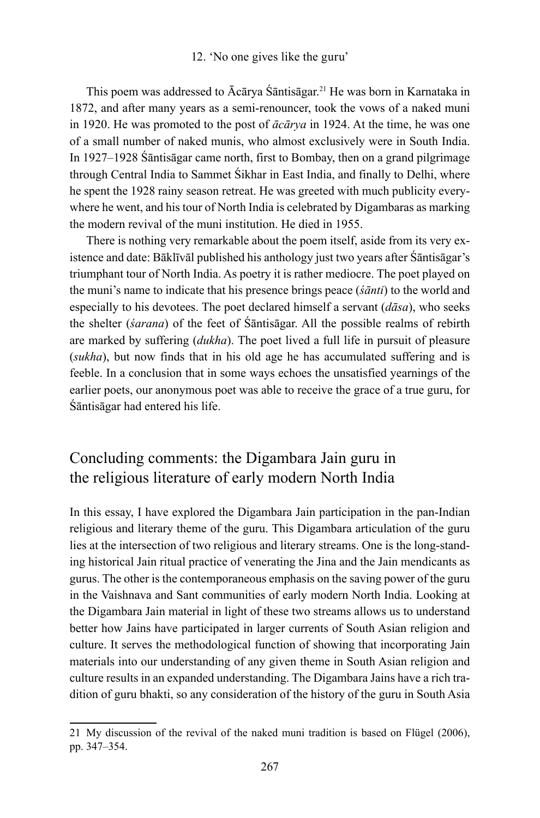This poem was addressed to Ācārya Śāntisāgar.21 He was born in Karnataka in 1872, and after many years as a semi-renouncer, took the vows of a naked muni in 1920. He was promoted to the post of *ācārya* in 1924. At the time, he was one of a small number of naked munis, who almost exclusively were in South India. In 1927–1928 Śāntisāgar came north, first to Bombay, then on a grand pilgrimage through Central India to Sammet Śikhar in East India, and finally to Delhi, where he spent the 1928 rainy season retreat. He was greeted with much publicity everywhere he went, and his tour of North India is celebrated by Digambaras as marking the modern revival of the muni institution. He died in 1955.

There is nothing very remarkable about the poem itself, aside from its very existence and date: Bāklīvāl published his anthology just two years after Śāntisāgar's triumphant tour of North India. As poetry it is rather mediocre. The poet played on the muni's name to indicate that his presence brings peace (*śānti*) to the world and especially to his devotees. The poet declared himself a servant (*dāsa*), who seeks the shelter (*śarana*) of the feet of Śāntisāgar. All the possible realms of rebirth are marked by suffering (*dukha*). The poet lived a full life in pursuit of pleasure (*sukha*), but now finds that in his old age he has accumulated suffering and is feeble. In a conclusion that in some ways echoes the unsatisfied yearnings of the earlier poets, our anonymous poet was able to receive the grace of a true guru, for Śāntisāgar had entered his life.

# Concluding comments: the Digambara Jain guru in the religious literature of early modern North India

In this essay, I have explored the Digambara Jain participation in the pan-Indian religious and literary theme of the guru. This Digambara articulation of the guru lies at the intersection of two religious and literary streams. One is the long-standing historical Jain ritual practice of venerating the Jina and the Jain mendicants as gurus. The other is the contemporaneous emphasis on the saving power of the guru in the Vaishnava and Sant communities of early modern North India. Looking at the Digambara Jain material in light of these two streams allows us to understand better how Jains have participated in larger currents of South Asian religion and culture. It serves the methodological function of showing that incorporating Jain materials into our understanding of any given theme in South Asian religion and culture results in an expanded understanding. The Digambara Jains have a rich tradition of guru bhakti, so any consideration of the history of the guru in South Asia

<sup>21</sup> My discussion of the revival of the naked muni tradition is based on Flügel (2006), pp. 347–354.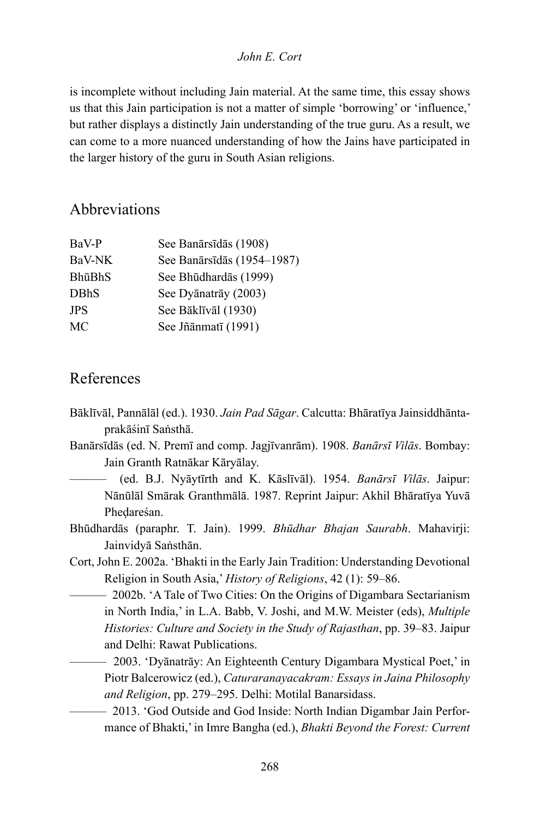is incomplete without including Jain material. At the same time, this essay shows us that this Jain participation is not a matter of simple 'borrowing' or 'influence,' but rather displays a distinctly Jain understanding of the true guru. As a result, we can come to a more nuanced understanding of how the Jains have participated in the larger history of the guru in South Asian religions.

# Abbreviations

| BaV-P       | See Banārsīdās (1908)      |
|-------------|----------------------------|
| BaV-NK      | See Banārsīdās (1954–1987) |
| BhūBhS      | See Bhūdhardās (1999)      |
| <b>DBhS</b> | See Dyānatrāy (2003)       |
| <b>JPS</b>  | See Bāklīvāl (1930)        |
| МC          | See Jñānmatī (1991)        |

# References

- Bāklīvāl, Pannālāl (ed.). 1930. *Jain Pad Sāgar*. Calcutta: Bhāratīya Jainsiddhāntaprakāśinī Saṅsthā.
- Banārsīdās (ed. N. Premī and comp. Jagjīvanrām). 1908. *Banārsī Vilās*. Bombay: Jain Granth Ratnākar Kāryālay.
	- ——— (ed. B.J. Nyāytīrth and K. Kāslīvāl). 1954. *Banārsī Vilās*. Jaipur: Nānūlāl Smārak Granthmālā. 1987. Reprint Jaipur: Akhil Bhāratīya Yuvā Pheḍareśan.
- Bhūdhardās (paraphr. T. Jain). 1999. *Bhūdhar Bhajan Saurabh*. Mahavirji: Jainvidyā Saṅsthān.
- Cort, John E. 2002a. 'Bhakti in the Early Jain Tradition: Understanding Devotional Religion in South Asia,' *History of Religions*, 42 (1): 59–86.
	- 2002b. 'A Tale of Two Cities: On the Origins of Digambara Sectarianism in North India,' in L.A. Babb, V. Joshi, and M.W. Meister (eds), *Multiple Histories: Culture and Society in the Study of Rajasthan*, pp. 39–83. Jaipur and Delhi: Rawat Publications.
	- ——— 2003. 'Dyānatrāy: An Eighteenth Century Digambara Mystical Poet,' in Piotr Balcerowicz (ed.), *Caturaranayacakram: Essays in Jaina Philosophy and Religion*, pp. 279–295. Delhi: Motilal Banarsidass.
	- ——— 2013. 'God Outside and God Inside: North Indian Digambar Jain Performance of Bhakti,' in Imre Bangha (ed.), *Bhakti Beyond the Forest: Current*